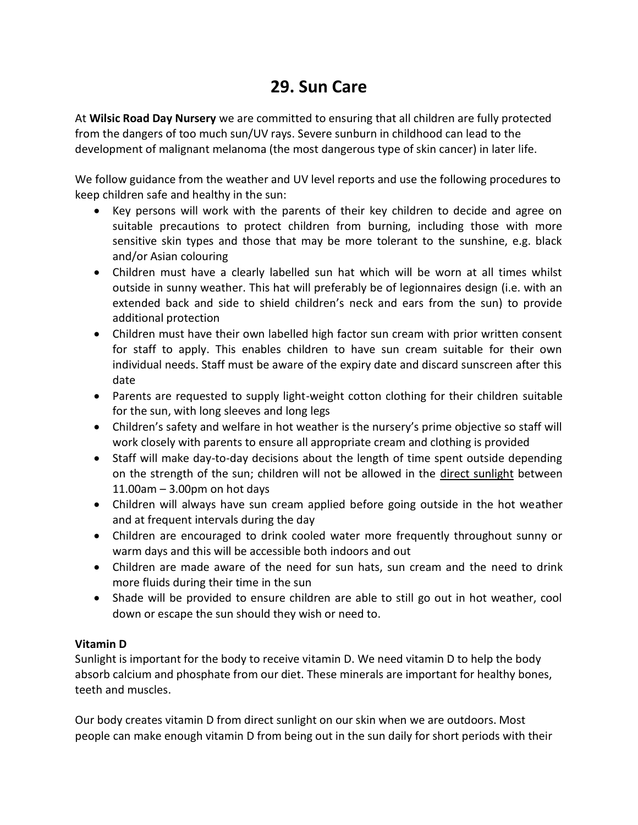## **29. Sun Care**

At **Wilsic Road Day Nursery** we are committed to ensuring that all children are fully protected from the dangers of too much sun/UV rays. Severe sunburn in childhood can lead to the development of malignant melanoma (the most dangerous type of skin cancer) in later life.

We follow guidance from the weather and UV level reports and use the following procedures to keep children safe and healthy in the sun:

- Key persons will work with the parents of their key children to decide and agree on suitable precautions to protect children from burning, including those with more sensitive skin types and those that may be more tolerant to the sunshine, e.g. black and/or Asian colouring
- Children must have a clearly labelled sun hat which will be worn at all times whilst outside in sunny weather. This hat will preferably be of legionnaires design (i.e. with an extended back and side to shield children's neck and ears from the sun) to provide additional protection
- Children must have their own labelled high factor sun cream with prior written consent for staff to apply. This enables children to have sun cream suitable for their own individual needs. Staff must be aware of the expiry date and discard sunscreen after this date
- Parents are requested to supply light-weight cotton clothing for their children suitable for the sun, with long sleeves and long legs
- Children's safety and welfare in hot weather is the nursery's prime objective so staff will work closely with parents to ensure all appropriate cream and clothing is provided
- Staff will make day-to-day decisions about the length of time spent outside depending on the strength of the sun; children will not be allowed in the direct sunlight between 11.00am – 3.00pm on hot days
- Children will always have sun cream applied before going outside in the hot weather and at frequent intervals during the day
- Children are encouraged to drink cooled water more frequently throughout sunny or warm days and this will be accessible both indoors and out
- Children are made aware of the need for sun hats, sun cream and the need to drink more fluids during their time in the sun
- Shade will be provided to ensure children are able to still go out in hot weather, cool down or escape the sun should they wish or need to.

## **Vitamin D**

Sunlight is important for the body to receive vitamin D. We need vitamin D to help the body absorb calcium and phosphate from our diet. These minerals are important for healthy bones, teeth and muscles.

Our body creates vitamin D from direct sunlight on our skin when we are outdoors. Most people can make enough vitamin D from being out in the sun daily for short periods with their